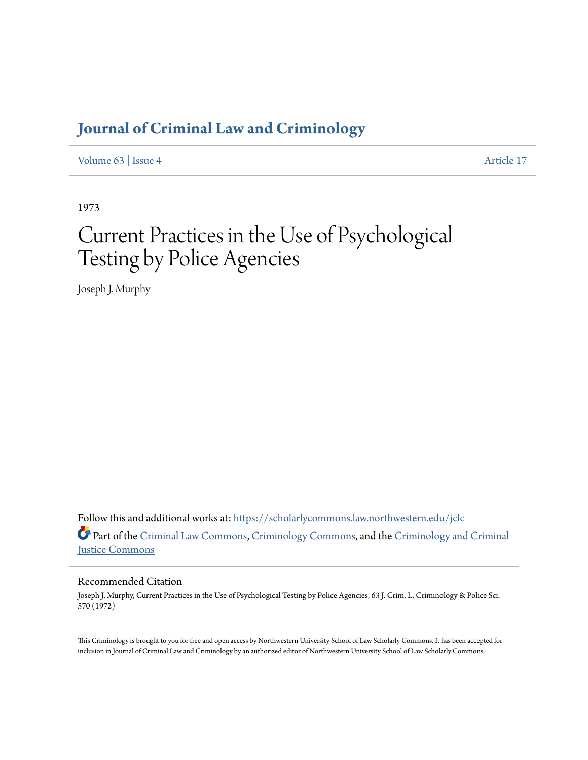# **[Journal of Criminal Law and Criminology](https://scholarlycommons.law.northwestern.edu/jclc?utm_source=scholarlycommons.law.northwestern.edu%2Fjclc%2Fvol63%2Fiss4%2F17&utm_medium=PDF&utm_campaign=PDFCoverPages)**

[Volume 63](https://scholarlycommons.law.northwestern.edu/jclc/vol63?utm_source=scholarlycommons.law.northwestern.edu%2Fjclc%2Fvol63%2Fiss4%2F17&utm_medium=PDF&utm_campaign=PDFCoverPages) | [Issue 4](https://scholarlycommons.law.northwestern.edu/jclc/vol63/iss4?utm_source=scholarlycommons.law.northwestern.edu%2Fjclc%2Fvol63%2Fiss4%2F17&utm_medium=PDF&utm_campaign=PDFCoverPages) [Article 17](https://scholarlycommons.law.northwestern.edu/jclc/vol63/iss4/17?utm_source=scholarlycommons.law.northwestern.edu%2Fjclc%2Fvol63%2Fiss4%2F17&utm_medium=PDF&utm_campaign=PDFCoverPages)

1973

# Current Practices in the Use of Psychological Testing by Police Agencies

Joseph J. Murphy

Follow this and additional works at: [https://scholarlycommons.law.northwestern.edu/jclc](https://scholarlycommons.law.northwestern.edu/jclc?utm_source=scholarlycommons.law.northwestern.edu%2Fjclc%2Fvol63%2Fiss4%2F17&utm_medium=PDF&utm_campaign=PDFCoverPages) Part of the [Criminal Law Commons](http://network.bepress.com/hgg/discipline/912?utm_source=scholarlycommons.law.northwestern.edu%2Fjclc%2Fvol63%2Fiss4%2F17&utm_medium=PDF&utm_campaign=PDFCoverPages), [Criminology Commons](http://network.bepress.com/hgg/discipline/417?utm_source=scholarlycommons.law.northwestern.edu%2Fjclc%2Fvol63%2Fiss4%2F17&utm_medium=PDF&utm_campaign=PDFCoverPages), and the [Criminology and Criminal](http://network.bepress.com/hgg/discipline/367?utm_source=scholarlycommons.law.northwestern.edu%2Fjclc%2Fvol63%2Fiss4%2F17&utm_medium=PDF&utm_campaign=PDFCoverPages) [Justice Commons](http://network.bepress.com/hgg/discipline/367?utm_source=scholarlycommons.law.northwestern.edu%2Fjclc%2Fvol63%2Fiss4%2F17&utm_medium=PDF&utm_campaign=PDFCoverPages)

## Recommended Citation

Joseph J. Murphy, Current Practices in the Use of Psychological Testing by Police Agencies, 63 J. Crim. L. Criminology & Police Sci. 570 (1972)

This Criminology is brought to you for free and open access by Northwestern University School of Law Scholarly Commons. It has been accepted for inclusion in Journal of Criminal Law and Criminology by an authorized editor of Northwestern University School of Law Scholarly Commons.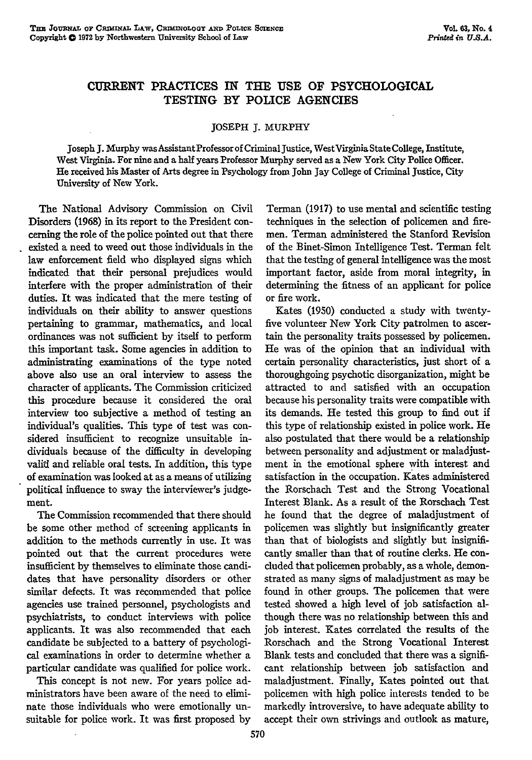### **CURRENT** PRACTICES **IN** THE **USE** OF **PSYCHOLOGICAL** TESTING BY POLICE **AGENCIES**

#### JOSEPH J. MURPHY

Joseph **J.** Murphy was AssistantProfessor of Criminal Justice, West Virginia State College, Institute, West Virginia. For nine and a half years Professor Murphy served as a New York City Police Officer. He received his Master of Arts degree in Psychology from John Jay College of Criminal Justice, City University of New York.

The National Advisory Commission on Civil Disorders (1968) in its report to the President concerning the role of the police pointed out that there existed a need to weed out those individuals in the law enforcement field who displayed signs which indicated that their personal prejudices would interfere with the proper administration of their duties. It was indicated that the mere testing of individuals on their ability to answer questions pertaining to grammar, mathematics, and local ordinances was not sufficient by itself to perform this important task. Some agencies in addition to administrating examinations of the type noted above also use an oral interview to assess the character of applicants. The Commission criticized this procedure because it considered the oral interview too subjective a method of testing an individual's qualities. This type of test was considered insufficient to recognize unsuitable individuals because of the difficulty in developing valid and reliable oral tests. In addition, this type of examination was looked at as a means of utilizing political influence to sway the interviewer's judgement.

The Commission recommended that there should be some other method of screening applicants in addition to the methods currently in use. It was pointed out that the current procedures were insufficient by themselves to eliminate those candidates that have personality disorders or other similar defects. It was recommended that police agencies use trained personnel, psychologists and psychiatrists, to conduct interviews with police applicants. It was also recommended that each candidate be subjected to a battery of psychological examinations in order to determine whether a particular candidate was qualified for police work.

This concept is not new. For years police administrators have been aware of the need to eliminate those individuals who were emotionally unsuitable for police work. It was first proposed by

Terman (1917) to use mental and scientific testing techniques in the selection of policemen and firemen. Terman administered the Stanford Revision of the Binet-Simon Intelligence Test. Terman felt that the testing of general intelligence was the most important factor, aside from moral integrity, in determining the fitness of an applicant for police or fire work.

Kates (1950) conducted a study with twentyfive volunteer New York City patrolmen to ascertain the personality traits possessed by policemen. He was of the opinion that an individual with certain personality characteristics, just short of a thoroughgoing psychotic disorganization, might be attracted to and satisfied with an occupation because his personality traits were compatible with its demands. He tested this group to find out if this type of relationship existed in police work. He also postulated that there would be a relationship between personality and adjustment or maladjustment in the emotional sphere with interest and satisfaction in the occupation. Kates administered the Rorschach Test and the Strong Vocational Interest Blank. As a result of the Rorschach Test he found that the degree of maladjustment of policemen was slightly but insignificantly greater than that of biologists and slightly but insignificantly smaller than that of routine clerks. He concluded that policemen probably, as a whole, demonstrated as many signs of maladjustment as may be found in other groups. The policemen that were tested showed a high level of job satisfaction although there was no relationship between this and job interest. Kates correlated the results of the Rorschach and the Strong Vocational Interest Blank tests and concluded that there was a significant relationship between job satisfaction and maladjustment. Finally, Kates pointed out that policemen with high police interests tended to be markedly introversive, to have adequate ability to accept their own strivings and outlook as mature,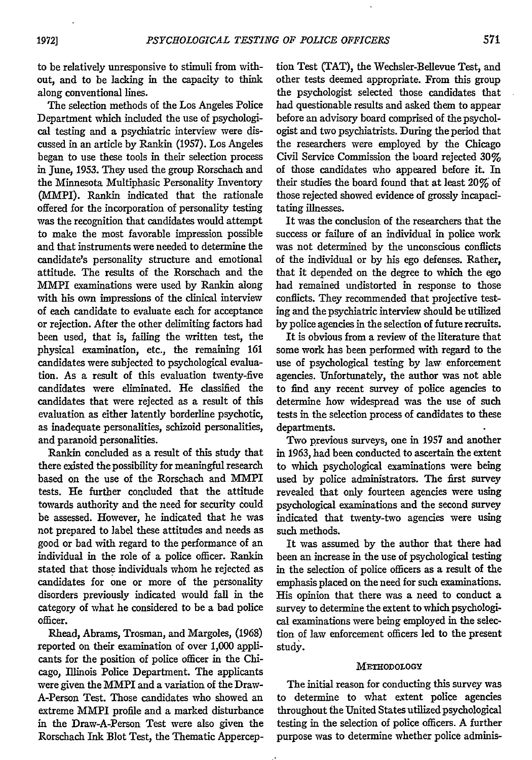to be relatively unresponsive to stimuli from without, and to be lacking in the capacity to think along conventional lines.

The selection methods of the Los Angeles Police Department which included the use of psychological testing and a psychiatric interview were discussed in an article by Rankin (1957). Los Angeles began to use these tools in their selection process in June, 1953. They used the group Rorschach and the Minnesota Multiphasic Personality Inventory (MMPI). Rankin indicated that the rationale offered for the incorporation of personality testing was the recognition that candidates would attempt to make the most favorable impression possible and that instruments were needed to determine the candidate's personality structure and emotional attitude. The results of the Rorschach and the MMPI examinations were used by Rankin along with his own impressions of the clinical interview of each candidate to evaluate each for acceptance or rejection. After the other delimiting factors had been used, that is, failing the written test, the physical examination, etc., the remaining 161 candidates were subjected to psychological evaluation. As a result of this evaluation twenty-five candidates were eliminated. He classified the candidates that were rejected as a result of this evaluation as either latently borderline psychotic, as inadequate personalities, schizoid personalities, and paranoid personalities.

Rankin concluded as a result of this study that there existed the possibility for meaningful research based on the use of the Rorschach and MMPI tests. He further concluded that the attitude towards authority and the need for security could be assessed. However, he indicated that he was not prepared to label these attitudes and needs as good or bad with regard to the performance of an individual in the role of a police officer. Rankin stated that those individuals whom he rejected as candidates for one or more of the personality disorders previously indicated would fall in the category of what he considered to be a bad police officer.

Rhead, Abrams, Trosman, and Margoles, (1968) reported on their examination of over 1,000 applicants for the position of police officer in the Chicago, Illinois Police Department. The applicants were given the MMPI and a variation of the Draw-A-Person Test. Those candidates who showed an extreme MMPI profile and a marked disturbance in the Draw-A-Person Test were also given the Rorschach Ink Blot Test, the Thematic Apperception Test (TAT), the Wechsler-Bellevue Test, and other tests deemed appropriate. From this group the psychologist selected those candidates that had questionable results and asked them to appear before an advisory board comprised of the psychologist and two psychiatrists. During the period that the researchers were employed by the Chicago Civil Service Commission the board rejected 30% of those candidates who appeared before it. In their studies the board found that at least 20% of those rejected showed evidence of grossly incapacitating illnesses.

It was the conclusion of the researchers that the success or failure of an individual in police work was not determined by the unconscious conflicts of the individual or by his ego defenses. Rather, that it depended on the degree to which the ego had remained undistorted in response to those conflicts. They recommended that projective testing and the psychiatric interview should be utilized by police agencies in the selection of future recruits.

It is obvious from a review of the literature that some work has been performed with regard to the use of psychological testing by law enforcement agencies. Unfortunately, the author was not able to find any recent survey of police agencies to determine how widespread was the use of such tests in the selection process of candidates to these departments.

Two previous surveys, one in 1957 and another in 1963, had been conducted to ascertain the extent to which psychological examinations were being used by police administrators. The first survey revealed that only fourteen agencies were using psychological examinations and the second survey indicated that twenty-two agencies were using such methods.

It was assumed by the author that there had been an increase in the use of psychological testing in the selection of police officers as a result of the emphasis placed on the need for such examinations. His opinion that there was a need to conduct a survey to determine the extent to which psychological examinations were being employed in the selection of law enforcement officers led to the present study.

#### METHODOLOGY

The initial reason for conducting this survey was to determine to what extent police agencies throughout the United States utilized psychological testing in the selection of police officers. A further purpose was to determine whether police adminis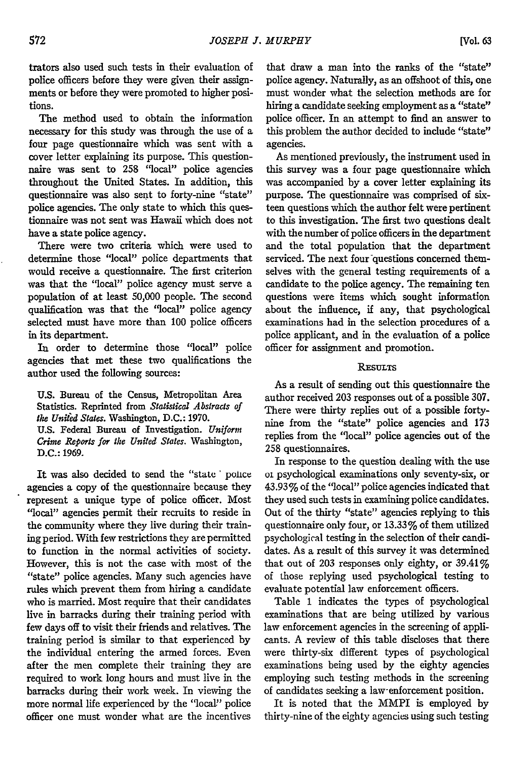trators also used such tests in their evaluation of police officers before they were given their assignments or before they were promoted to higher positions.

The method used to obtain the information necessary for this study was through the use of a four page questionnaire which was sent with a cover letter explaining its purpose. This questionnaire was sent to 258 "local" police agencies throughout the United States. In addition, this questionnaire was also sent to forty-nine "state" police agencies. The only state to which this questionnaire was not sent was Hawaii which does not have a state police agency.

There were two criteria which were used to determine those "local" police departments that would receive a questionnaire. The first criterion was that the "local" police agency must serve a population of at least 50,000 people. The second qualification was that the "local" police agency selected must have more than **100** police officers in its department.

In order to determine those "local" police agencies that met these two qualifications the author used the following sources:

**U.S.** Bureau of the Census, Metropolitan Area Statistics. Reprinted from *Statistical Abstracts of the United States.* Washington, **D.C.: 1970. U.S.** Federal Bureau of Investigation. *Uniform Crime Reports for the United States.* Washington, D.C.: 1969.

It was also decided to send the "state' police agencies a copy of the questionnaire because they represent a unique type of police officer. Most "local" agencies permit their recruits to reside in the community where they live during their training period. With few restrictions they are permitted to function in the normal activities of society. However, this is not the case with most of the "state" police agencies. Many such agencies have rules which prevent them from hiring a candidate who is married. Most require that their candidates live in barracks during their training period with few days off to visit their friends and relatives. The training period is similar to that experienced by the individual entering the armed forces. Even after the men complete their training they are required to work long hours and must live in the barracks during their work week. In viewing the more normal life experienced by the "local" police officer one must wonder what are the incentives

that draw a man into the ranks of the "state" police agency. Naturally, as an offshoot of this, one must wonder what the selection methods are for hiring a candidate seeking employment as a "state" police officer. In an attempt to find an answer to this problem the author decided to include "state" agencies.

As mentioned previously, the instrument used in this survey was a four page questionnaire which was accompanied by a cover letter explaining its purpose. The questionnaire was comprised of sixteen questions which the author felt were pertinent to this investigation. The first two questions dealt with the number of police officers in the department and the total population that the department serviced. The next four questions concerned themselves with the general testing requirements of a candidate to the police agency. The remaining ten questions were items which sought information about the influence, if any, that psychological examinations had in the selection procedures of a police applicant, and in the evaluation of a police officer for assignment and promotion.

#### **RESULTS**

As a result of sending out this questionnaire the author received 203 responses out of a possible 307. There were thirty replies out of a possible fortynine from the "state" police agencies and 173 replies from the "local" police agencies out of the 258 questionnaires.

In response to the question dealing with the use oi psychological examinations only seventy-six, or 43.93% of the "local" police agencies indicated that they used such tests in examining police candidates. Out of the thirty "state" agencies replying to this questionnaire only four, or 13.33% of them utilized psychological testing in the selection of their candidates. As a result of this survey it was determined that out of 203 responses only eighty, or  $39.41\%$ of those replying used psychological testing to evaluate potential law enforcement officers.

Table 1 indicates the types of psychological examinations that are being utilized by various law enforcement agencies in the screening of applicants. A review of this table discloses that there were thirty-six different types of psychological examinations being used by the eighty agencies employing such testing methods in the screening of candidates seeking a law-enforcement position.

It is noted that the MMPI is employed by thirty-nine of the eighty agencies using such testing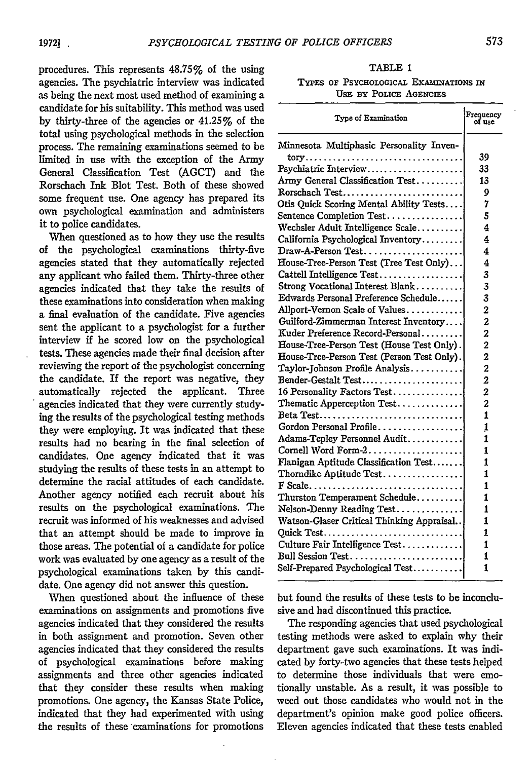procedures. **This** represents 48.75% of the using agencies. The psychiatric interview was indicated as being the next most used method of examining a candidate for his suitability. This method was used **by** thirty-three of the agencies or 41.25% of the total using psychological methods in the selection process. The remaining examinations seemed to be limited in use with the exception of the Army General Classification Test **(AGCT)** and the Rorschach Ink Blot Test. Both of these showed some frequent use. One agency has prepared its own psychological examination and administers it to police candidates.

When questioned as to how they use the results of the psychological examinations thirty-five agencies stated that they automatically rejected any applicant who failed them. Thirty-three other agencies indicated that they take the results of these examinations into consideration when making a final evaluation of the candidate. Five agencies sent the applicant to a psychologist for a further interview **if** he scored low on the psychological tests. These agencies made their final decision after reviewing the report of the psychologist concerning the candidate. **If** the report was negative, they automatically rejected the applicant. Three agencies indicated that they were currently studying the results of the psychological testing methods they were employing. It was indicated that these results had no bearing in the final selection of candidates. One agency indicated that it was studying the results of these tests in an attempt to determine the racial attitudes of each candidate. Another agency notified each recruit about his results on the psychological examinations. The recruit was informed of his weaknesses and advised that an attempt should be made to improve in those areas. The potential of a candidate for police work was evaluated by one agency as a result of the psychological examinations taken **by** this candidate. One agency did not answer this question.

When questioned about the influence of these examinations on assignments and promotions five agencies indicated that they considered the results in both assignment and promotion. Seven other agencies indicated that they considered the results of psychological examinations before making assignments and three other agencies indicated that they consider these results when making promotions. One agency, the Kansas State Police, indicated that they had experimented with using the results of these examinations for promotions

#### TABLE 1

#### TYPES OF PSYCHOLOGICAL **EXAMINATIONS** IN USE **BY** POLICE **AGENCIES**

| Type of Examination                        | Frequency<br>of use |
|--------------------------------------------|---------------------|
| Minnesota Multiphasic Personality Inven-   |                     |
| tory                                       | 39                  |
| Psychiatric Interview                      | 33                  |
| Army General Classification Test           | 13                  |
| Rorschach Test                             | 9                   |
| Otis Ouick Scoring Mental Ability Tests    | 7                   |
| Sentence Completion Test                   | 5                   |
| Wechsler Adult Intelligence Scale          | 4                   |
| California Psychological Inventory         | 4                   |
| $Draw-A-Person Test.$                      | 4                   |
| House-Tree-Person Test (Tree Test Only)    | 4                   |
| Cattell Intelligence Test                  | 3                   |
| Strong Vocational Interest Blank           | 3                   |
| Edwards Personal Preference Schedule       | 3                   |
| Allport-Vernon Scale of Values             | 2                   |
| Guilford-Zimmerman Interest Inventory      | 2                   |
| Kuder Preference Record-Personal           | $\overline{a}$      |
| House-Tree-Person Test (House Test Only).  | $\overline{2}$      |
| House-Tree-Person Test (Person Test Only). | 2                   |
| Taylor-Johnson Profile Analysis            | $\overline{2}$      |
| Bender-Gestalt Test                        | $\overline{2}$      |
| 16 Personality Factors Test                | $\overline{2}$      |
| Thematic Apperception Test                 | $\overline{2}$      |
|                                            | 1                   |
| Gordon Personal Profile                    | 1                   |
| Adams-Tepley Personnel Audit               | 1                   |
| Cornell Word Form-2                        | 1                   |
| Flanigan Aptitude Classification Test      | 1                   |
| Thorndike Aptitude Test                    | 1                   |
|                                            | 1                   |
| Thurston Temperament Schedule              | 1                   |
| Nelson-Denny Reading Test                  | 1                   |
| Watson-Glaser Critical Thinking Appraisal  | 1                   |
| Quick Test                                 | 1                   |
| Culture Fair Intelligence Test             | 1                   |
|                                            | 1                   |
| Self-Prepared Psychological Test           | 1                   |
|                                            |                     |

but found the results of these tests to be inconclusive and had discontinued this practice.

The responding agencies that used psychological testing methods were asked to explain why their department gave such examinations. It was indicated by forty-two agencies that these tests helped to determine those individuals that were emotionally unstable. As a result, it was possible to weed out those candidates who would not in the department's opinion make good police officers. Eleven agencies indicated that these tests enabled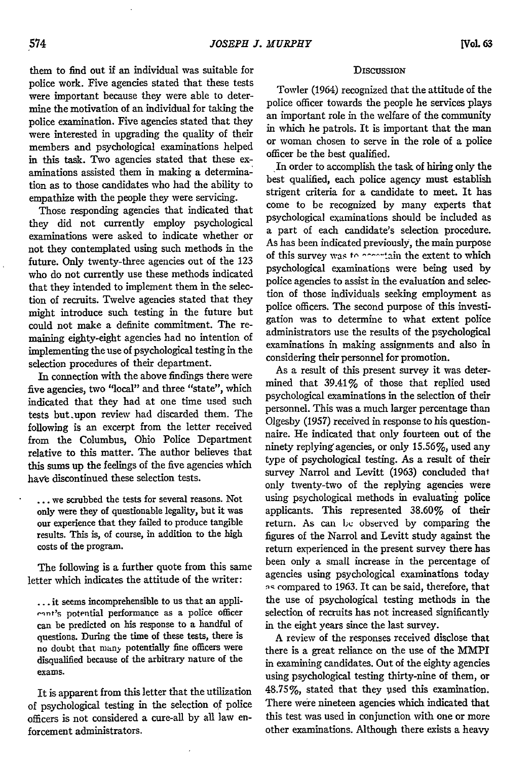them to find out if an individual was suitable for

police work. Five agencies stated that these tests were important because they were able to determine the motivation of an individual for taking the police examination. Five agencies stated that they were interested in upgrading the quality of their members and psychological examinations helped in this task. Two agencies stated that these examinations assisted them in making a determination as to those candidates who had the ability to empathize with the people they were servicing.

Those responding agencies that indicated that they did not currently employ psychological examinations were asked to indicate whether or not they contemplated using such methods in the future. Only twenty-three agencies out of the 123 who do not currently use these methods indicated that they intended to implement them in the selection of recruits. Twelve agencies stated that they might introduce such testing in the future but could not make a definite commitment. The remaining eighty-eight agencies had no intention of implementing the use of psychological testing in the selection procedures of their department.

In connection with the above findings there were five agencies, two "local" and three "state", which indicated that they had at one time used such tests but upon review had discarded them. The following is an excerpt from the letter received from the Columbus, Ohio Police Department relative to this matter. The author believes that this sums up the feelings of the five agencies which have discontinued these selection tests.

... we scrubbed the tests for several reasons. Not only were they of questionable legality, but it was our experience that they failed to produce tangible results. This is, of course, in addition to the high costs of the program.

The following is a further quote from this same letter which indicates the attitude of the writer:

**...** it seems incomprehensible to us that an appli- **-,nt's** potential performance as a police officer can be predicted on his response to a handful of questions. During the time of these tests, there is no doubt that many potentially fine officers were disqualified because of the arbitrary nature of the exams.

It is apparent from this letter that the utilization of psychological testing in the selection of police officers is not considered a cure-all by all law enforcement administrators.

#### **DISCUSSION**

Towler (1964) recognized that the attitude of the police officer towards the people he services plays an important role in the welfare of the community in which he patrols. It is important that the man or woman chosen to serve in the role of a police officer be the best qualified.

In order to accomplish the task of hiring only the best qualified, each police agency must establish strigent criteria for a candidate to meet. It has come to be recognized by many experts that psychological examinations should be included as a part of each candidate's selection procedure. As has been indicated previously, the main purpose of this survey was *to present* the extent to which psychological examinations were being used by police agencies to assist in the evaluation and selection of those individuals seeking employment as police officers. The second purpose of this investigation was to determine to what extent police administrators use the results of the psychological examinations in making assignments and also in considering their personnel for promotion.

As a result of this present survey it was determined that  $39.41\%$  of those that replied used psychological examinations in the selection of their personnel. This was a much larger percentage than Olgesby (1957) received in response to his questionnaire. He indicated that only fourteen out of the ninety replying agencies, or only 15.56%, used any type of psychological testing. As a result of their survey Narrol and Levitt (1963) concluded that only twenty-two of the replying agencies were using psychological methods in evaluating police applicants. This represented 38.60% of their return. As can bc observed by comparing the figures of the Narrol and Levitt study against the return experienced in the present survey there has been only a small increase in the percentage of agencies using psychological examinations today **q** compared to 1963. It can be said, therefore, that the use of psychological testing methods in the selection of recruits has not increased significantly in the eight years since the last survey.

A review of the responses received disclose that there is a great reliance on the use of the MMPI in examining candidates. Out of the eighty agencies using psychological testing thirty-nine of them, or 48.75%, stated that they vsed this examination. There were nineteen agencies which indicated that this test was used in conjunction with one or more other examinations. Although there exists a heavy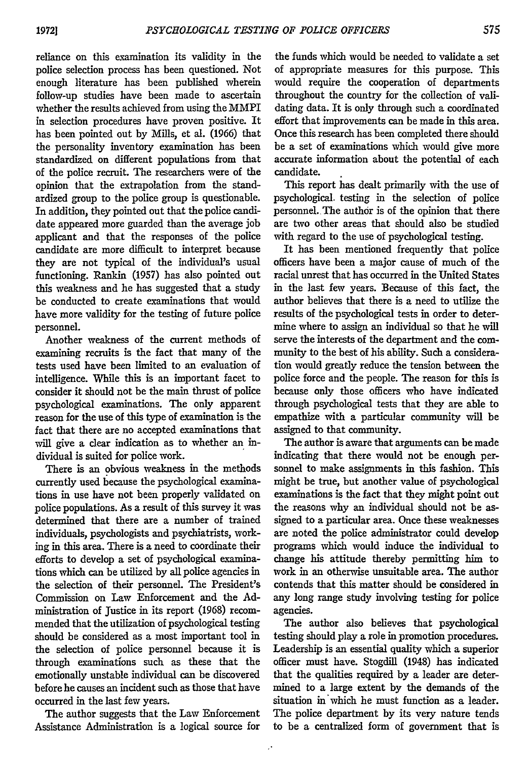reliance on this examination its validity in the police selection process has been questioned. Not enough literature has been published wherein follow-up studies have been made to ascertain whether the results achieved from using the MMPI in selection procedures have proven positive. It has been pointed out by Mills, et al. (1966) that the personality inventory examination has been standardized on different populations from that of the police recruit. The researchers were of the opinion that the extrapolation from the standardized group to the police group is questionable. In addition, they pointed out that the police candidate appeared more guarded than the average job applicant and that the responses of the police candidate are more difficult to interpret because they are not typical of the individual's usual functioning. Rankin (1957) has also pointed out this weakness and he has suggested that a study be conducted to create examinations that would have more validity for the testing of future police personnel.

Another weakness of the current methods of examining recruits is the fact that many of the tests used have been limited to an evaluation of intelligence. While this is an important facet to consider it should not be the main thrust of police psychological examinations. The only apparent reason for the use of this type of examination is the fact that there are no accepted examinations that will give a clear indication as to whether an individual is suited for police work.

There is an obvious weakness in the methods currently used because the psychological examinations in use have not been properly validated on police populations. As a result of this survey it was determined that there are a number of trained individuals, psychologists and psychiatrists, working in this area. There is a need to coordinate their efforts to develop a set of psychological examinations which can be utilized by all police agencies in the selection of their personnel. The President's Commission on Law Enforcement and the Administration of Justice in its report (1968) recommended that the utilization of psychological testing should be considered as a most important tool in the selection of police personnel because it is through examinations such as these that the emotionally unstable individual can be discovered before he causes an incident such as those that have occurred in the last few years.

The author suggests that the Law Enforcement Assistance Administration is a logical source for

the funds which would be needed to validate a set of appropriate measures for this purpose. This would require the cooperation of departments throughout the country for the collection of validating data. It is only through such a coordinated effort that improvements can be made in this area. Once this research has been completed there should be a set of examinations which would give more accurate information about the potential of each candidate.

This report has dealt primarily with the use of psychological, testing in the selection of police personnel. The author is of the opinion that there are two other areas that should also be studied with regard to the use of psychological testing.

It has been mentioned frequently that police officers have been a major cause of much of the racial unrest that has occurred in the United States in the last few years. Because of this fact, the author believes that there is a need to utilize the results of the psychological tests in order to determine where to assign an individual so that he will serve the interests of the department and the community to the best of his ability. Such a consideration would greatly reduce the tension between the police force and the people. The reason for this is because only those officers who have indicated through psychological tests that they are able to empathize with a particular community will be assigned to that community.

The author is aware that arguments can be made indicating that there would not be enough personnel to make assignments in this fashion. This might be true, but another value of psychological examinations is the fact that they might point out the reasons why an individual should not be assigned to a particular area. Once these weaknesses are noted the police administrator could develop programs which would induce the individual to change his attitude thereby permitting him to work in an otherwise unsuitable area. The author contends that this matter should be considered in any long range study involving testing for police agencies.

The author also believes that psychological testing should play a role in promotion procedures. Leadership is an essential quality which a superior officer must have. Stogdill (1948) has indicated that the qualities required by a leader are determined to a large extent by the demands of the situation in which he must function as a leader. The police department by its very nature tends to be a centralized form of government that is